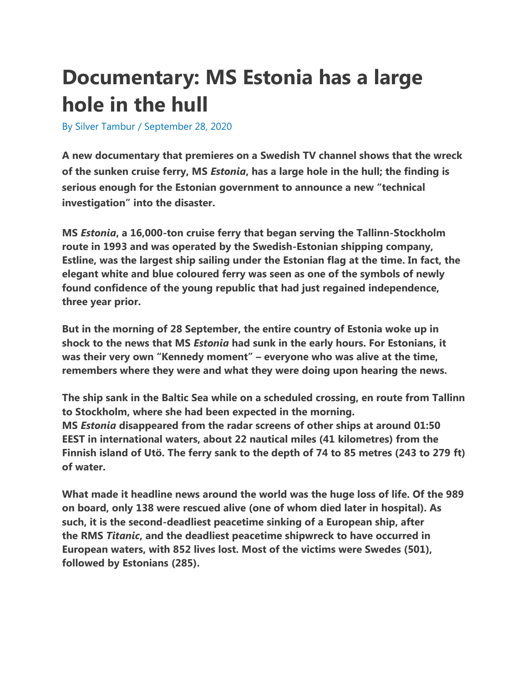## **Documentary: MS Estonia has a large hole in the hull**

By [Silver Tambur](https://estonianworld.com/author/silver/) / September 28, 2020

**A new documentary that premieres on a Swedish TV channel shows that the wreck of the sunken cruise ferry, MS** *Estonia***, has a large hole in the hull; the finding is serious enough for the Estonian government to announce a new "technical investigation" into the disaster.**

**MS** *Estonia***, a 16,000-ton cruise ferry that began serving the Tallinn-Stockholm route in 1993 and was operated by the Swedish-Estonian shipping company, Estline, was the largest ship sailing under the Estonian flag at the time. In fact, the elegant white and blue coloured ferry was seen as one of the symbols of newly found confidence of the young republic that had just regained independence, three year prior.**

**But in the morning of 28 September, the entire country of Estonia woke up in shock to the news that MS** *Estonia* **had sunk in the early hours. For Estonians, it was their very own "Kennedy moment" – everyone who was alive at the time, remembers where they were and what they were doing upon hearing the news.**

**The ship sank in the Baltic Sea while on a scheduled crossing, en route from Tallinn to Stockholm, where she had been expected in the morning. MS** *Estonia* **disappeared from the radar screens of other ships at around 01:50 EEST in international waters, about 22 nautical miles (41 kilometres) from the Finnish island of Utö. The ferry sank to the depth of 74 to 85 metres (243 to 279 ft) of water.**

**What made it headline news around the world was the huge loss of life. Of the 989 on board, only 138 were rescued alive (one of whom died later in hospital). As such, it is the second-deadliest peacetime sinking of a European ship, after the RMS** *Titanic***, and the deadliest peacetime shipwreck to have occurred in European waters, with 852 lives lost. Most of the victims were Swedes (501), followed by Estonians (285).**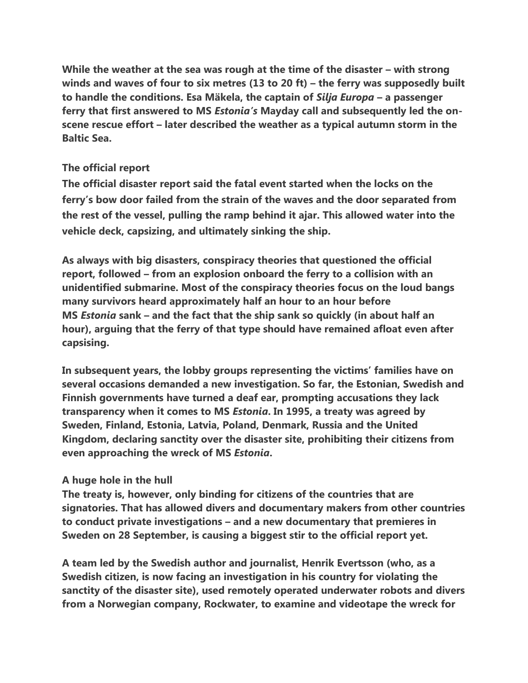**While the weather at the sea was rough at the time of the disaster – with strong winds and waves of four to six metres (13 to 20 ft) – the ferry was supposedly built to handle the conditions. Esa Mäkela, the captain of** *Silja Europa* **– a passenger ferry that first answered to MS** *Estonia's* **Mayday call and subsequently led the onscene rescue effort – later described the weather as a typical autumn storm in the Baltic Sea.**

## **The official report**

**The official disaster report said the fatal event started when the locks on the ferry's bow door failed from the strain of the waves and the door separated from the rest of the vessel, pulling the ramp behind it ajar. This allowed water into the vehicle deck, capsizing, and ultimately sinking the ship.**

**As always with big disasters, conspiracy theories that questioned the official report, followed – from an explosion onboard the ferry to a collision with an unidentified submarine. Most of the conspiracy theories focus on the loud bangs many survivors heard approximately half an hour to an hour before MS** *Estonia* **sank – and the fact that the ship sank so quickly (in about half an hour), arguing that the ferry of that type should have remained afloat even after capsising.**

**In subsequent years, the lobby groups representing the victims' families have on several occasions demanded a new investigation. So far, the Estonian, Swedish and Finnish governments have turned a deaf ear, prompting accusations they lack transparency when it comes to MS** *Estonia***. In 1995, a treaty was agreed by Sweden, Finland, Estonia, Latvia, Poland, Denmark, Russia and the United Kingdom, declaring sanctity over the disaster site, prohibiting their citizens from even approaching the wreck of MS** *Estonia***.**

## **A huge hole in the hull**

**The treaty is, however, only binding for citizens of the countries that are signatories. That has allowed divers and documentary makers from other countries to conduct private investigations – and a new documentary that premieres in Sweden on 28 September, is causing a biggest stir to the official report yet.**

**A team led by the Swedish author and journalist, Henrik Evertsson (who, as a Swedish citizen, is now facing an investigation in his country for violating the sanctity of the disaster site), used remotely operated underwater robots and divers from a Norwegian company, Rockwater, to examine and videotape the wreck for**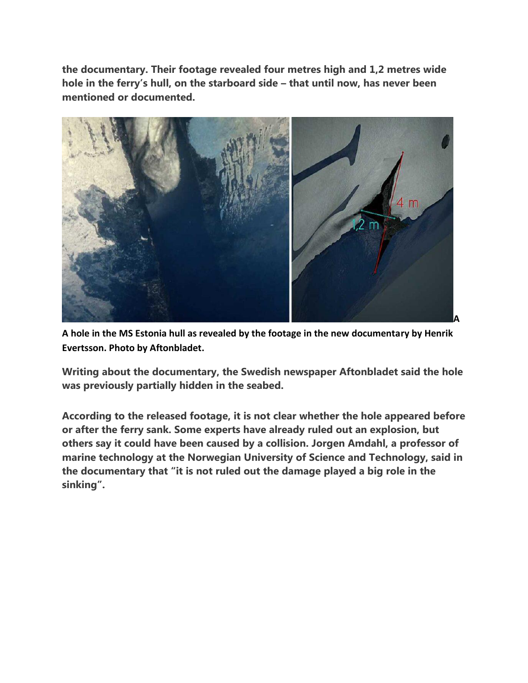**the documentary. Their footage revealed four metres high and 1,2 metres wide hole in the ferry's hull, on the starboard side – that until now, has never been mentioned or documented.**



**A hole in the MS Estonia hull as revealed by the footage in the new documentary by Henrik Evertsson. Photo by Aftonbladet.**

**Writing about the documentary, the Swedish newspaper Aftonbladet said the hole was previously partially hidden in the seabed.**

**According to the released footage, it is not clear whether the hole appeared before or after the ferry sank. Some experts have already ruled out an explosion, but others say it could have been caused by a collision. Jorgen Amdahl, a professor of marine technology at the Norwegian University of Science and Technology, said in the documentary that "it is not ruled out the damage played a big role in the sinking".**